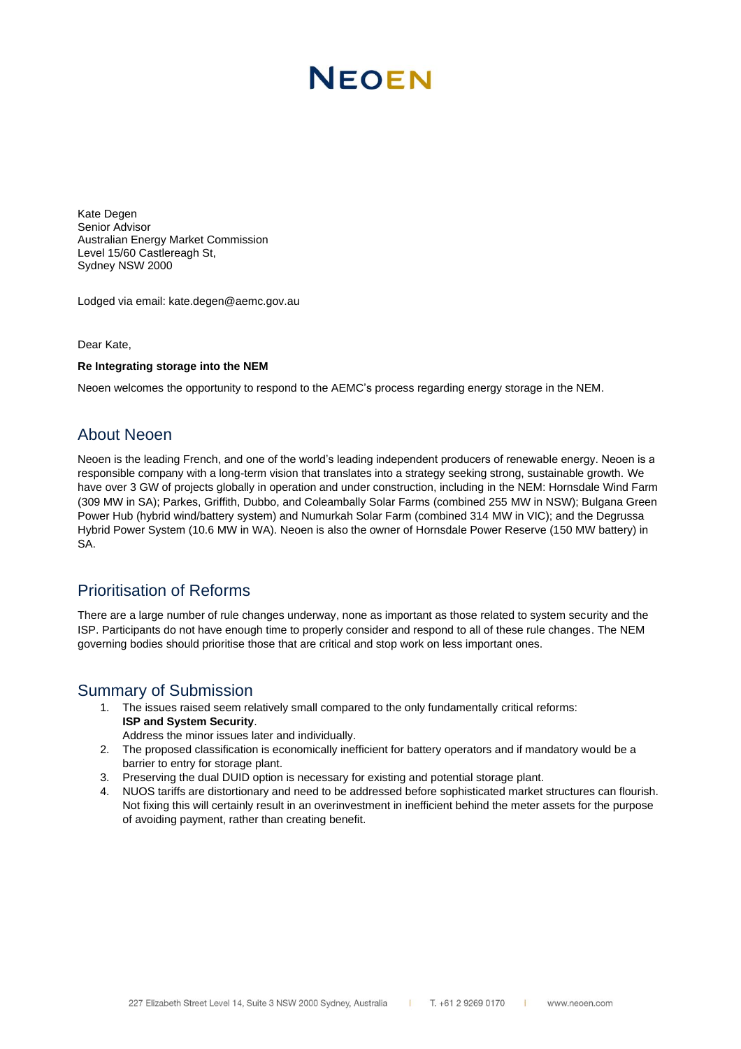# **NEOEN**

Kate Degen Senior Advisor Australian Energy Market Commission Level 15/60 Castlereagh St, Sydney NSW 2000

Lodged via email: kate.degen@aemc.gov.au

Dear Kate,

#### **Re Integrating storage into the NEM**

Neoen welcomes the opportunity to respond to the AEMC's process regarding energy storage in the NEM.

#### About Neoen

Neoen is the leading French, and one of the world's leading independent producers of renewable energy. Neoen is a responsible company with a long-term vision that translates into a strategy seeking strong, sustainable growth. We have over 3 GW of projects globally in operation and under construction, including in the NEM: Hornsdale Wind Farm (309 MW in SA); Parkes, Griffith, Dubbo, and Coleambally Solar Farms (combined 255 MW in NSW); Bulgana Green Power Hub (hybrid wind/battery system) and Numurkah Solar Farm (combined 314 MW in VIC); and the Degrussa Hybrid Power System (10.6 MW in WA). Neoen is also the owner of Hornsdale Power Reserve (150 MW battery) in SA.

### Prioritisation of Reforms

There are a large number of rule changes underway, none as important as those related to system security and the ISP. Participants do not have enough time to properly consider and respond to all of these rule changes. The NEM governing bodies should prioritise those that are critical and stop work on less important ones.

#### Summary of Submission

- 1. The issues raised seem relatively small compared to the only fundamentally critical reforms: **ISP and System Security**.
	- Address the minor issues later and individually.
- 2. The proposed classification is economically inefficient for battery operators and if mandatory would be a barrier to entry for storage plant.
- 3. Preserving the dual DUID option is necessary for existing and potential storage plant.
- 4. NUOS tariffs are distortionary and need to be addressed before sophisticated market structures can flourish. Not fixing this will certainly result in an overinvestment in inefficient behind the meter assets for the purpose of avoiding payment, rather than creating benefit.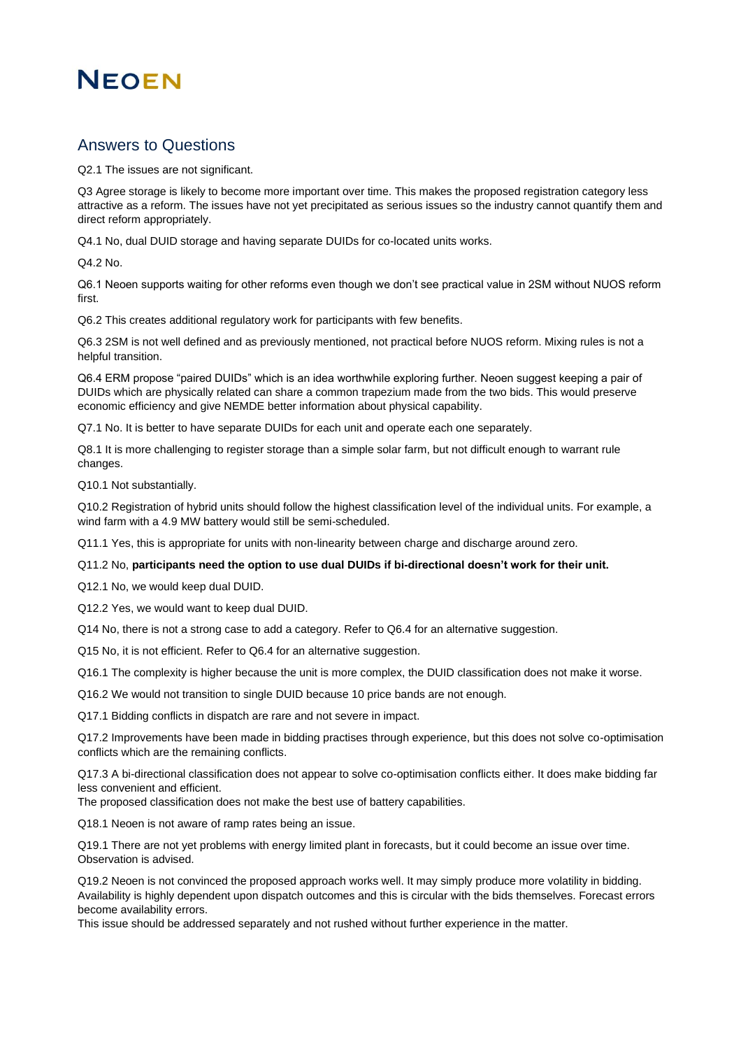## **NEOEN**

### Answers to Questions

Q2.1 The issues are not significant.

Q3 Agree storage is likely to become more important over time. This makes the proposed registration category less attractive as a reform. The issues have not yet precipitated as serious issues so the industry cannot quantify them and direct reform appropriately.

Q4.1 No, dual DUID storage and having separate DUIDs for co-located units works.

Q4.2 No.

Q6.1 Neoen supports waiting for other reforms even though we don't see practical value in 2SM without NUOS reform first.

Q6.2 This creates additional regulatory work for participants with few benefits.

Q6.3 2SM is not well defined and as previously mentioned, not practical before NUOS reform. Mixing rules is not a helpful transition.

Q6.4 ERM propose "paired DUIDs" which is an idea worthwhile exploring further. Neoen suggest keeping a pair of DUIDs which are physically related can share a common trapezium made from the two bids. This would preserve economic efficiency and give NEMDE better information about physical capability.

Q7.1 No. It is better to have separate DUIDs for each unit and operate each one separately.

Q8.1 It is more challenging to register storage than a simple solar farm, but not difficult enough to warrant rule changes.

Q10.1 Not substantially.

Q10.2 Registration of hybrid units should follow the highest classification level of the individual units. For example, a wind farm with a 4.9 MW battery would still be semi-scheduled.

Q11.1 Yes, this is appropriate for units with non-linearity between charge and discharge around zero.

#### Q11.2 No, **participants need the option to use dual DUIDs if bi-directional doesn't work for their unit.**

Q12.1 No, we would keep dual DUID.

Q12.2 Yes, we would want to keep dual DUID.

Q14 No, there is not a strong case to add a category. Refer to Q6.4 for an alternative suggestion.

Q15 No, it is not efficient. Refer to Q6.4 for an alternative suggestion.

Q16.1 The complexity is higher because the unit is more complex, the DUID classification does not make it worse.

Q16.2 We would not transition to single DUID because 10 price bands are not enough.

Q17.1 Bidding conflicts in dispatch are rare and not severe in impact.

Q17.2 Improvements have been made in bidding practises through experience, but this does not solve co-optimisation conflicts which are the remaining conflicts.

Q17.3 A bi-directional classification does not appear to solve co-optimisation conflicts either. It does make bidding far less convenient and efficient.

The proposed classification does not make the best use of battery capabilities.

Q18.1 Neoen is not aware of ramp rates being an issue.

Q19.1 There are not yet problems with energy limited plant in forecasts, but it could become an issue over time. Observation is advised.

Q19.2 Neoen is not convinced the proposed approach works well. It may simply produce more volatility in bidding. Availability is highly dependent upon dispatch outcomes and this is circular with the bids themselves. Forecast errors become availability errors.

This issue should be addressed separately and not rushed without further experience in the matter.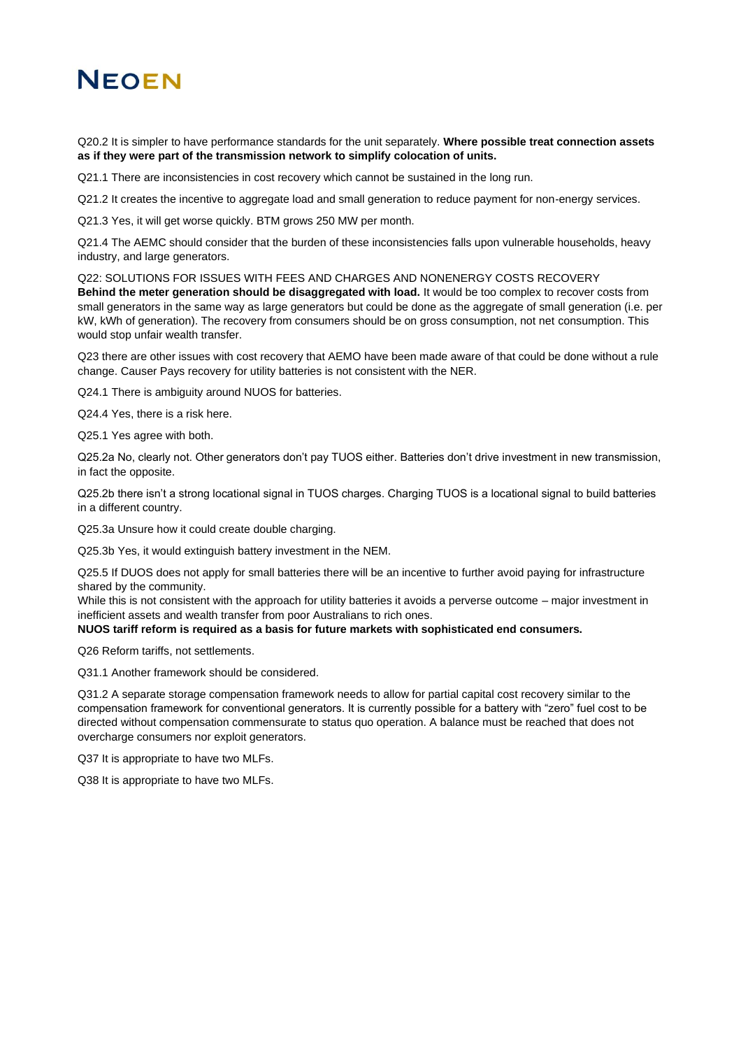## **NEOEN**

Q20.2 It is simpler to have performance standards for the unit separately. **Where possible treat connection assets as if they were part of the transmission network to simplify colocation of units.**

Q21.1 There are inconsistencies in cost recovery which cannot be sustained in the long run.

Q21.2 It creates the incentive to aggregate load and small generation to reduce payment for non-energy services.

Q21.3 Yes, it will get worse quickly. BTM grows 250 MW per month.

Q21.4 The AEMC should consider that the burden of these inconsistencies falls upon vulnerable households, heavy industry, and large generators.

Q22: SOLUTIONS FOR ISSUES WITH FEES AND CHARGES AND NONENERGY COSTS RECOVERY **Behind the meter generation should be disaggregated with load.** It would be too complex to recover costs from small generators in the same way as large generators but could be done as the aggregate of small generation (i.e. per kW, kWh of generation). The recovery from consumers should be on gross consumption, not net consumption. This would stop unfair wealth transfer.

Q23 there are other issues with cost recovery that AEMO have been made aware of that could be done without a rule change. Causer Pays recovery for utility batteries is not consistent with the NER.

Q24.1 There is ambiguity around NUOS for batteries.

Q24.4 Yes, there is a risk here.

Q25.1 Yes agree with both.

Q25.2a No, clearly not. Other generators don't pay TUOS either. Batteries don't drive investment in new transmission, in fact the opposite.

Q25.2b there isn't a strong locational signal in TUOS charges. Charging TUOS is a locational signal to build batteries in a different country.

Q25.3a Unsure how it could create double charging.

Q25.3b Yes, it would extinguish battery investment in the NEM.

Q25.5 If DUOS does not apply for small batteries there will be an incentive to further avoid paying for infrastructure shared by the community.

While this is not consistent with the approach for utility batteries it avoids a perverse outcome – major investment in inefficient assets and wealth transfer from poor Australians to rich ones.

**NUOS tariff reform is required as a basis for future markets with sophisticated end consumers.**

Q26 Reform tariffs, not settlements.

Q31.1 Another framework should be considered.

Q31.2 A separate storage compensation framework needs to allow for partial capital cost recovery similar to the compensation framework for conventional generators. It is currently possible for a battery with "zero" fuel cost to be directed without compensation commensurate to status quo operation. A balance must be reached that does not overcharge consumers nor exploit generators.

Q37 It is appropriate to have two MLFs.

Q38 It is appropriate to have two MLFs.